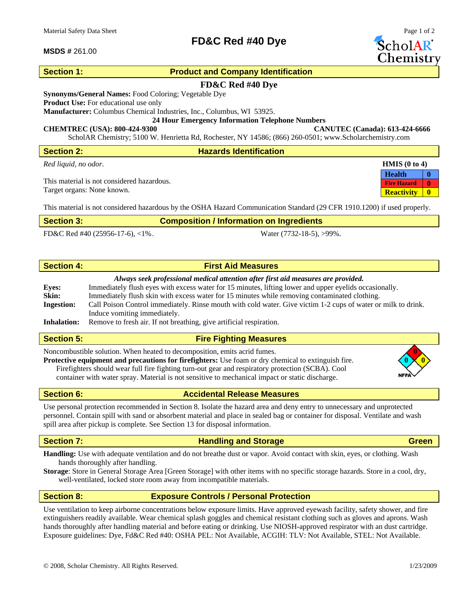## **MSDS #** 261.00

# **Section 1:** Product and Company Identification

# **FD&C Red #40 Dye**

**FD&C Red #40 Dye** 

**Synonyms/General Names:** Food Coloring; Vegetable Dye

**Product Use:** For educational use only

**Manufacturer:** Columbus Chemical Industries, Inc., Columbus, WI 53925.

**24 Hour Emergency Information Telephone Numbers** 

### **CHEMTREC (USA): 800-424-9300 CANUTEC (Canada): 613-424-6666**

ScholAR Chemistry; 5100 W. Henrietta Rd, Rochester, NY 14586; (866) 260-0501; www.Scholarchemistry.com

| <b>Section 2:</b>                          | <b>Hazards Identification</b>                           |                                    |
|--------------------------------------------|---------------------------------------------------------|------------------------------------|
| Red liquid, no odor.                       |                                                         | <b>HMIS</b> $(0 \text{ to } 4)$    |
|                                            |                                                         | <b>Health</b>                      |
| This material is not considered hazardous. |                                                         | $\mathbf{0}$<br><b>Fire Hazard</b> |
| Target organs: None known.                 |                                                         | $\mathbf{0}$<br><b>Reactivity</b>  |
| ----                                       | a i izao <del>ama</del> izaza zaoarra<br>-------<br>- - |                                    |

This material is not considered hazardous by the OSHA Hazard Communication Standard (29 CFR 1910.1200) if used properly.

| <b>Section 3:</b> | <b>Composition / Information on Ingredients</b> |
|-------------------|-------------------------------------------------|
|                   |                                                 |

FD&C Red #40 (25956-17-6), <1% . Water (7732-18-5), >99%.

# **Section 4: First Aid Measures**

## *Always seek professional medical attention after first aid measures are provided.*

| <b>Eyes:</b>       | Immediately flush eyes with excess water for 15 minutes, lifting lower and upper eyelids occasionally.        |
|--------------------|---------------------------------------------------------------------------------------------------------------|
| Skin:              | Immediately flush skin with excess water for 15 minutes while removing contaminated clothing.                 |
| <b>Ingestion:</b>  | Call Poison Control immediately. Rinse mouth with cold water. Give victim 1-2 cups of water or milk to drink. |
|                    | Induce vomiting immediately.                                                                                  |
| <b>Inhalation:</b> | Remove to fresh air. If not breathing, give artificial respiration.                                           |

# **Section 5:** Fire Fighting Measures

Noncombustible solution. When heated to decomposition, emits acrid fumes. **0**

**Protective equipment and precautions for firefighters:** Use foam or dry chemical to extinguish fire. **0 0** Firefighters should wear full fire fighting turn-out gear and respiratory protection (SCBA). Cool container with water spray. Material is not sensitive to mechanical impact or static discharge.

**Section 6:** Accidental Release Measures

Use personal protection recommended in Section 8. Isolate the hazard area and deny entry to unnecessary and unprotected personnel. Contain spill with sand or absorbent material and place in sealed bag or container for disposal. Ventilate and wash spill area after pickup is complete. See Section 13 for disposal information.

# **Section 7: Construction Construction Construction Construction Construction Construction Construction Construction Construction Construction Construction Construction Construction Construction Construction Construction**

**Handling:** Use with adequate ventilation and do not breathe dust or vapor. Avoid contact with skin, eyes, or clothing. Wash hands thoroughly after handling.

**Storage**: Store in General Storage Area [Green Storage] with other items with no specific storage hazards. Store in a cool, dry, well-ventilated, locked store room away from incompatible materials.

**Section 8: Exposure Controls / Personal Protection** 

Use ventilation to keep airborne concentrations below exposure limits. Have approved eyewash facility, safety shower, and fire extinguishers readily available. Wear chemical splash goggles and chemical resistant clothing such as gloves and aprons. Wash hands thoroughly after handling material and before eating or drinking. Use NIOSH-approved respirator with an dust cartridge. Exposure guidelines: Dye, Fd&C Red #40: OSHA PEL: Not Available, ACGIH: TLV: Not Available, STEL: Not Available.